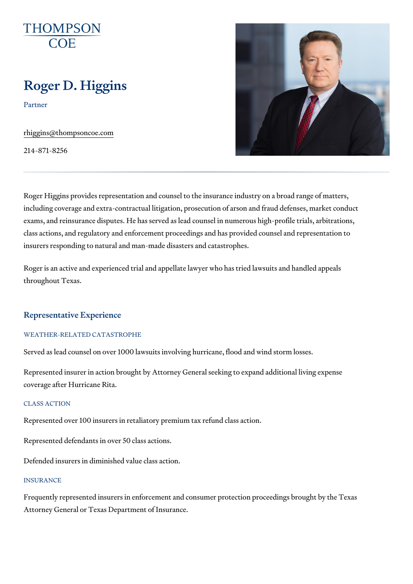## Roger D. Higgins

Partner

[rhiggins@thompso](mailto:rhiggins@thompsoncoe.com)ncoe.com

214-871-8256

Roger Higgins provides representation and counsel to the insurance indust including coverage and extra-contractual litigation, prosecution of arson a exams, and reinsurance disputes. He has served as lead counsel in numero class actions, and regulatory and enforcement proceedings and has provided counsely insurers responding to natural and man-made disasters and catastrophes.

Roger is an active and experienced trial and appellate lawyer who has trie throughout Texas.

#### Representative Experience

#### WEATHER-RELATED CATASTROPHE

Served as lead counsel on over 1000 lawsuits involving hurricane, flood ar

Represented insurer in action brought by Attorney General seeking to expa coverage after Hurricane Rita.

#### CLASS ACTION

Represented over 100 insurers in retaliatory premium tax refund class acti

Represented defendants in over 50 class actions.

Defended insurers in diminished value class action.

#### **INSURANCE**

Frequently represented insurers in enforcement and consumer protection p Attorney General or Texas Department of Insurance.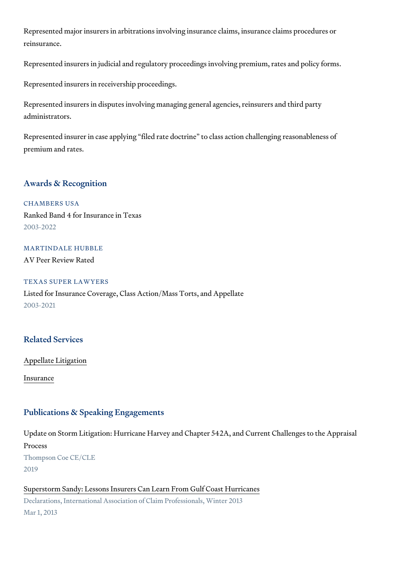Represented major insurers in arbitrations involving insurance claims, insu reinsurance.

Represented insurers in judicial and regulatory proceedings involving prem

Represented insurers in receivership proceedings.

Represented insurers in disputes involving managing general agencies, rei administrators.

Represented insurer in case applying filed rate doctrine to class action of premium and rates.

#### Awards & Recognition

CHAMBERS USA Ranked Band 4 for Insurance in Texas 2003-2022

MARTINDALE HUBBLE AV Peer Review Rated

TEXAS SUPER LAWYERS Listed for Insurance Coverage, Class Action/Mass Torts, and Appellate 2003-2021

## Related Services

[Appellate Li](https://www.thompsoncoe.com/people/roger-d-higgins/)tigation

[Insura](https://www.thompsoncoe.com/people/roger-d-higgins/)nce

#### Publications & Speaking Engagements

Update on Storm Litigation: Hurricane Harvey and Chapter 542A, and Curre Process Thompson Coe CE/CLE 2019

[Superstorm Sandy: Lessons Insurers Can Lea](https://www.thompsoncoe.com/resources/publications/superstorm-sandy-lessons-insurers-can-learn-from-gulf-coast-hurricanes/)rn From Gulf Coast Hurricanes Declarations, International Association of Claim Professionals, Winter 2013 Mar 1, 2013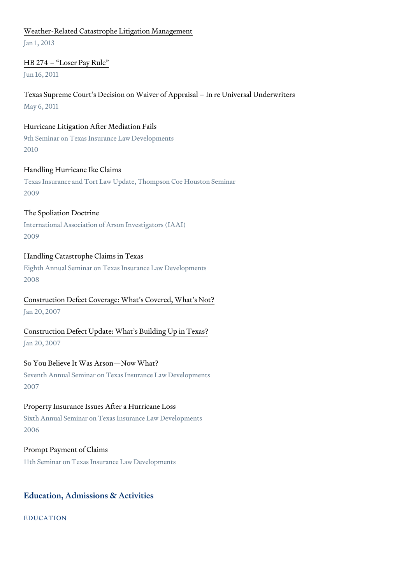#### [Weather-Related Catastrophe Lit](https://www.thompsoncoe.com/resources/publications/weather-related-catastrophe-litigation-management/)igation Management

Jan 1, 2013

#### [HB 274 Loser](https://www.thompsoncoe.com/resources/publications/hb-274-loser-pay-rule/) Pay Rule

Jun 16, 2011

## [Texas Supreme Court s Decision on Waiver of Appra](https://www.thompsoncoe.com/resources/publications/texas-supreme-courts-decision-on-waiver-of-appraisal-in-re-universal-underwriters/)isal In re Universal L May 6, 2011

#### Hurricane Litigation After Mediation Fails

9th Seminar on Texas Insurance Law Developments 2010

#### Handling Hurricane Ike Claims

Texas Insurance and Tort Law Update, Thompson Coe Houston Seminar 2009

#### The Spoliation Doctrine

International Association of Arson Investigators (IAAI) 2009

#### Handling Catastrophe Claims in Texas

Eighth Annual Seminar on Texas Insurance Law Developments 2008

## [Construction Defect Coverage: What](https://www.thompsoncoe.com/resources/publications/construction-defect-coverage-whats-covered-whats-not/) s Covered, What s Not? Jan 20, 2007

[Construction Defect Update: What s](https://www.thompsoncoe.com/resources/publications/construction-defect-update-whats-building-up-in-texas/) Building Up in Texas? Jan 20, 2007

#### So You Believe It Was Arson Now What?

Seventh Annual Seminar on Texas Insurance Law Developments 2007

#### Property Insurance Issues After a Hurricane Loss

Sixth Annual Seminar on Texas Insurance Law Developments 2006

#### Prompt Payment of Claims

11th Seminar on Texas Insurance Law Developments

#### Education, Admissions & Activities

EDUCATION